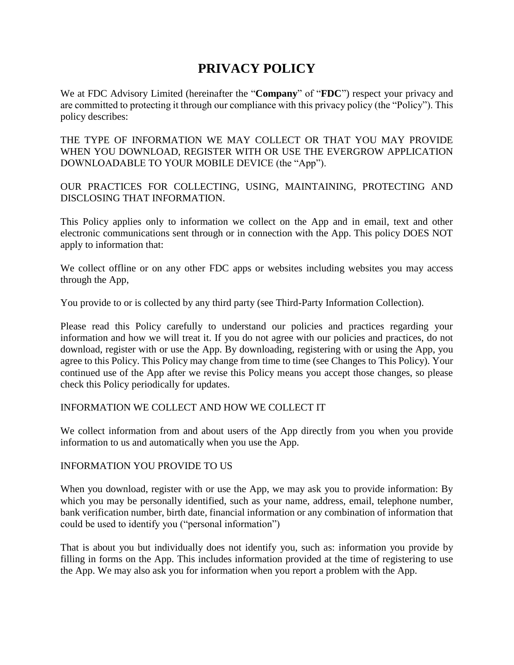# **PRIVACY POLICY**

We at FDC Advisory Limited (hereinafter the "**Company**" of "**FDC**") respect your privacy and are committed to protecting it through our compliance with this privacy policy (the "Policy"). This policy describes:

THE TYPE OF INFORMATION WE MAY COLLECT OR THAT YOU MAY PROVIDE WHEN YOU DOWNLOAD, REGISTER WITH OR USE THE EVERGROW APPLICATION DOWNLOADABLE TO YOUR MOBILE DEVICE (the "App").

OUR PRACTICES FOR COLLECTING, USING, MAINTAINING, PROTECTING AND DISCLOSING THAT INFORMATION.

This Policy applies only to information we collect on the App and in email, text and other electronic communications sent through or in connection with the App. This policy DOES NOT apply to information that:

We collect offline or on any other FDC apps or websites including websites you may access through the App,

You provide to or is collected by any third party (see Third-Party Information Collection).

Please read this Policy carefully to understand our policies and practices regarding your information and how we will treat it. If you do not agree with our policies and practices, do not download, register with or use the App. By downloading, registering with or using the App, you agree to this Policy. This Policy may change from time to time (see Changes to This Policy). Your continued use of the App after we revise this Policy means you accept those changes, so please check this Policy periodically for updates.

# INFORMATION WE COLLECT AND HOW WE COLLECT IT

We collect information from and about users of the App directly from you when you provide information to us and automatically when you use the App.

# INFORMATION YOU PROVIDE TO US

When you download, register with or use the App, we may ask you to provide information: By which you may be personally identified, such as your name, address, email, telephone number, bank verification number, birth date, financial information or any combination of information that could be used to identify you ("personal information")

That is about you but individually does not identify you, such as: information you provide by filling in forms on the App. This includes information provided at the time of registering to use the App. We may also ask you for information when you report a problem with the App.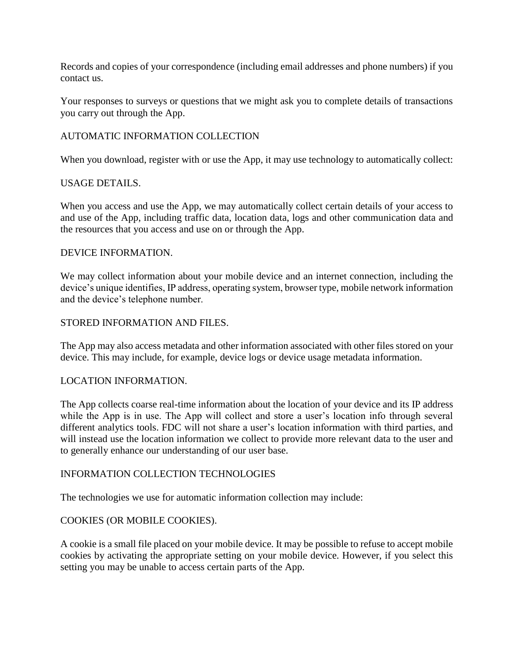Records and copies of your correspondence (including email addresses and phone numbers) if you contact us.

Your responses to surveys or questions that we might ask you to complete details of transactions you carry out through the App.

# AUTOMATIC INFORMATION COLLECTION

When you download, register with or use the App, it may use technology to automatically collect:

# USAGE DETAILS.

When you access and use the App, we may automatically collect certain details of your access to and use of the App, including traffic data, location data, logs and other communication data and the resources that you access and use on or through the App.

#### DEVICE INFORMATION.

We may collect information about your mobile device and an internet connection, including the device's unique identifies, IP address, operating system, browser type, mobile network information and the device's telephone number.

#### STORED INFORMATION AND FILES.

The App may also access metadata and other information associated with other files stored on your device. This may include, for example, device logs or device usage metadata information.

# LOCATION INFORMATION.

The App collects coarse real-time information about the location of your device and its IP address while the App is in use. The App will collect and store a user's location info through several different analytics tools. FDC will not share a user's location information with third parties, and will instead use the location information we collect to provide more relevant data to the user and to generally enhance our understanding of our user base.

# INFORMATION COLLECTION TECHNOLOGIES

The technologies we use for automatic information collection may include:

# COOKIES (OR MOBILE COOKIES).

A cookie is a small file placed on your mobile device. It may be possible to refuse to accept mobile cookies by activating the appropriate setting on your mobile device. However, if you select this setting you may be unable to access certain parts of the App.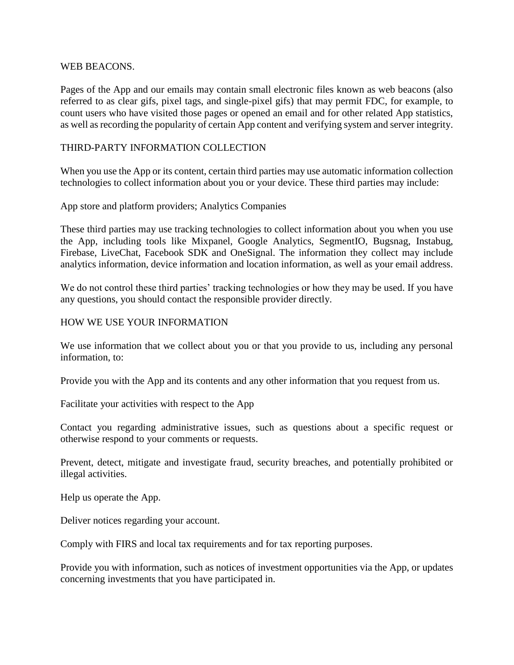#### WEB BEACONS.

Pages of the App and our emails may contain small electronic files known as web beacons (also referred to as clear gifs, pixel tags, and single-pixel gifs) that may permit FDC, for example, to count users who have visited those pages or opened an email and for other related App statistics, as well as recording the popularity of certain App content and verifying system and server integrity.

# THIRD-PARTY INFORMATION COLLECTION

When you use the App or its content, certain third parties may use automatic information collection technologies to collect information about you or your device. These third parties may include:

#### App store and platform providers; Analytics Companies

These third parties may use tracking technologies to collect information about you when you use the App, including tools like Mixpanel, Google Analytics, SegmentIO, Bugsnag, Instabug, Firebase, LiveChat, Facebook SDK and OneSignal. The information they collect may include analytics information, device information and location information, as well as your email address.

We do not control these third parties' tracking technologies or how they may be used. If you have any questions, you should contact the responsible provider directly.

#### HOW WE USE YOUR INFORMATION

We use information that we collect about you or that you provide to us, including any personal information, to:

Provide you with the App and its contents and any other information that you request from us.

Facilitate your activities with respect to the App

Contact you regarding administrative issues, such as questions about a specific request or otherwise respond to your comments or requests.

Prevent, detect, mitigate and investigate fraud, security breaches, and potentially prohibited or illegal activities.

Help us operate the App.

Deliver notices regarding your account.

Comply with FIRS and local tax requirements and for tax reporting purposes.

Provide you with information, such as notices of investment opportunities via the App, or updates concerning investments that you have participated in.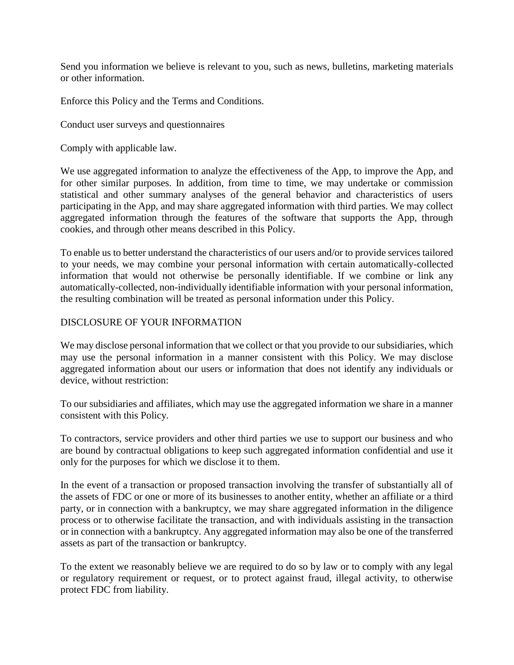Send you information we believe is relevant to you, such as news, bulletins, marketing materials or other information.

Enforce this Policy and the Terms and [Conditions.](https://rise.capital/privacy-policy/terms-of-use.html)

Conduct user surveys and questionnaires

Comply with applicable law.

We use aggregated information to analyze the effectiveness of the App, to improve the App, and for other similar purposes. In addition, from time to time, we may undertake or commission statistical and other summary analyses of the general behavior and characteristics of users participating in the App, and may share aggregated information with third parties. We may collect aggregated information through the features of the software that supports the App, through cookies, and through other means described in this Policy.

To enable us to better understand the characteristics of our users and/or to provide services tailored to your needs, we may combine your personal information with certain automatically-collected information that would not otherwise be personally identifiable. If we combine or link any automatically-collected, non-individually identifiable information with your personal information, the resulting combination will be treated as personal information under this Policy.

# DISCLOSURE OF YOUR INFORMATION

We may disclose personal information that we collect or that you provide to our subsidiaries, which may use the personal information in a manner consistent with this Policy. We may disclose aggregated information about our users or information that does not identify any individuals or device, without restriction:

To our subsidiaries and affiliates, which may use the aggregated information we share in a manner consistent with this Policy.

To contractors, service providers and other third parties we use to support our business and who are bound by contractual obligations to keep such aggregated information confidential and use it only for the purposes for which we disclose it to them.

In the event of a transaction or proposed transaction involving the transfer of substantially all of the assets of FDC or one or more of its businesses to another entity, whether an affiliate or a third party, or in connection with a bankruptcy, we may share aggregated information in the diligence process or to otherwise facilitate the transaction, and with individuals assisting in the transaction or in connection with a bankruptcy. Any aggregated information may also be one of the transferred assets as part of the transaction or bankruptcy.

To the extent we reasonably believe we are required to do so by law or to comply with any legal or regulatory requirement or request, or to protect against fraud, illegal activity, to otherwise protect FDC from liability.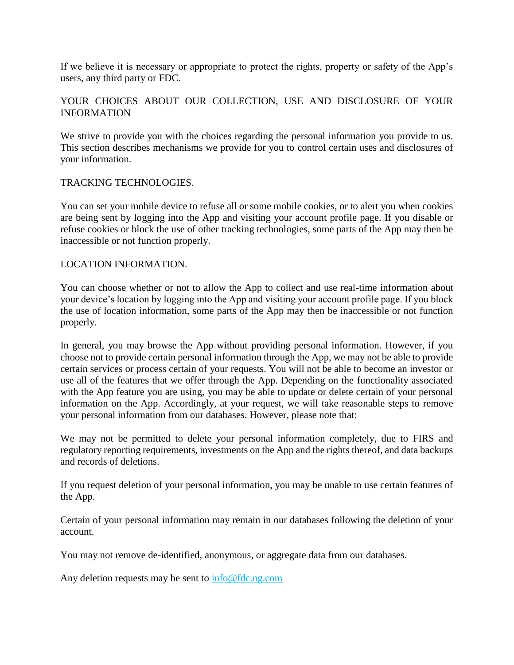If we believe it is necessary or appropriate to protect the rights, property or safety of the App's users, any third party or FDC.

# YOUR CHOICES ABOUT OUR COLLECTION, USE AND DISCLOSURE OF YOUR INFORMATION

We strive to provide you with the choices regarding the personal information you provide to us. This section describes mechanisms we provide for you to control certain uses and disclosures of your information.

# TRACKING TECHNOLOGIES.

You can set your mobile device to refuse all or some mobile cookies, or to alert you when cookies are being sent by logging into the App and visiting your account profile page. If you disable or refuse cookies or block the use of other tracking technologies, some parts of the App may then be inaccessible or not function properly.

# LOCATION INFORMATION.

You can choose whether or not to allow the App to collect and use real-time information about your device's location by logging into the App and visiting your account profile page. If you block the use of location information, some parts of the App may then be inaccessible or not function properly.

In general, you may browse the App without providing personal information. However, if you choose not to provide certain personal information through the App, we may not be able to provide certain services or process certain of your requests. You will not be able to become an investor or use all of the features that we offer through the App. Depending on the functionality associated with the App feature you are using, you may be able to update or delete certain of your personal information on the App. Accordingly, at your request, we will take reasonable steps to remove your personal information from our databases. However, please note that:

We may not be permitted to delete your personal information completely, due to FIRS and regulatory reporting requirements, investments on the App and the rights thereof, and data backups and records of deletions.

If you request deletion of your personal information, you may be unable to use certain features of the App.

Certain of your personal information may remain in our databases following the deletion of your account.

You may not remove de-identified, anonymous, or aggregate data from our databases.

Any deletion requests may be sent to [info@fdc.ng.com](file:///C:/Users/Gbenga/AppData/Local/Microsoft/Windows/INetCache/Content.Outlook/IAJ32G3U/info@fdc.ng.com)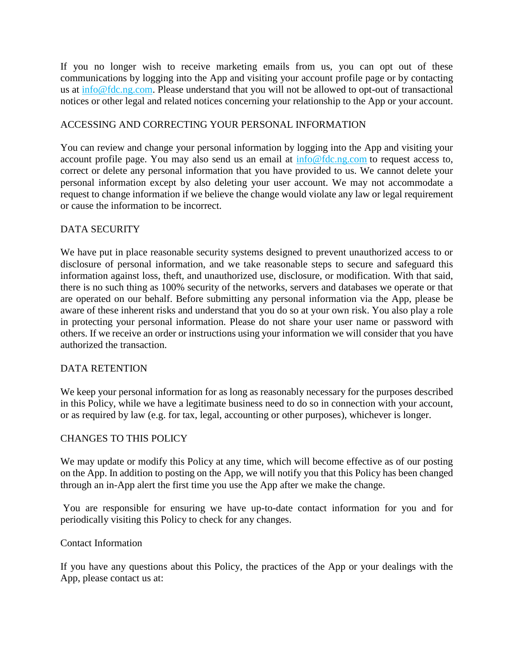If you no longer wish to receive marketing emails from us, you can opt out of these communications by logging into the App and visiting your account profile page or by contacting us at [info@fdc.ng.com.](file:///C:/Users/Gbenga/AppData/Local/Microsoft/Windows/INetCache/Content.Outlook/IAJ32G3U/info@fdc.ng.com) Please understand that you will not be allowed to opt-out of transactional notices or other legal and related notices concerning your relationship to the App or your account.

# ACCESSING AND CORRECTING YOUR PERSONAL INFORMATION

You can review and change your personal information by logging into the App and visiting your account profile page. You may also send us an email at [info@fdc.ng.com](file:///C:/Users/Gbenga/AppData/Local/Microsoft/Windows/INetCache/Content.Outlook/IAJ32G3U/info@fdc.ng.com) to request access to, correct or delete any personal information that you have provided to us. We cannot delete your personal information except by also deleting your user account. We may not accommodate a request to change information if we believe the change would violate any law or legal requirement or cause the information to be incorrect.

# DATA SECURITY

We have put in place reasonable security systems designed to prevent unauthorized access to or disclosure of personal information, and we take reasonable steps to secure and safeguard this information against loss, theft, and unauthorized use, disclosure, or modification. With that said, there is no such thing as 100% security of the networks, servers and databases we operate or that are operated on our behalf. Before submitting any personal information via the App, please be aware of these inherent risks and understand that you do so at your own risk. You also play a role in protecting your personal information. Please do not share your user name or password with others. If we receive an order or instructions using your information we will consider that you have authorized the transaction.

# DATA RETENTION

We keep your personal information for as long as reasonably necessary for the purposes described in this Policy, while we have a legitimate business need to do so in connection with your account, or as required by law (e.g. for tax, legal, accounting or other purposes), whichever is longer.

# CHANGES TO THIS POLICY

We may update or modify this Policy at any time, which will become effective as of our posting on the App. In addition to posting on the App, we will notify you that this Policy has been changed through an in-App alert the first time you use the App after we make the change.

You are responsible for ensuring we have up-to-date contact information for you and for periodically visiting this Policy to check for any changes.

# Contact Information

If you have any questions about this Policy, the practices of the App or your dealings with the App, please contact us at: